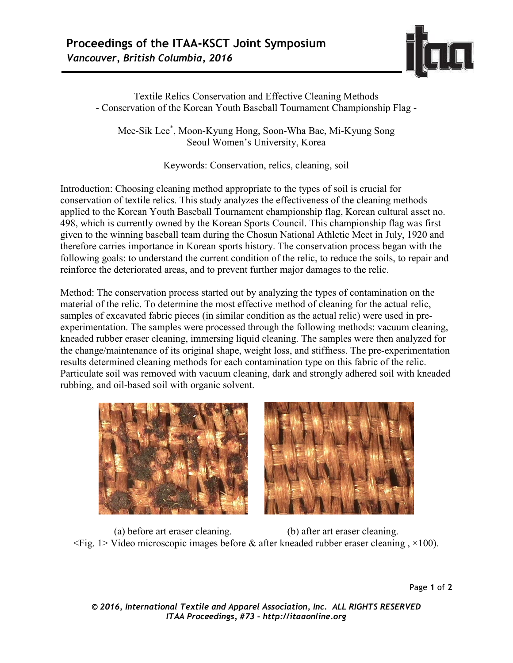

Textile Relics Conservation and Effective Cleaning Methods - Conservation of the Korean Youth Baseball Tournament Championship Flag -

Mee-Sik Lee\* , Moon-Kyung Hong, Soon-Wha Bae, Mi-Kyung Song Seoul Women's University, Korea

Keywords: Conservation, relics, cleaning, soil

Introduction: Choosing cleaning method appropriate to the types of soil is crucial for conservation of textile relics. This study analyzes the effectiveness of the cleaning methods applied to the Korean Youth Baseball Tournament championship flag, Korean cultural asset no. 498, which is currently owned by the Korean Sports Council. This championship flag was first given to the winning baseball team during the Chosun National Athletic Meet in July, 1920 and therefore carries importance in Korean sports history. The conservation process began with the following goals: to understand the current condition of the relic, to reduce the soils, to repair and reinforce the deteriorated areas, and to prevent further major damages to the relic.

Method: The conservation process started out by analyzing the types of contamination on the material of the relic. To determine the most effective method of cleaning for the actual relic, samples of excavated fabric pieces (in similar condition as the actual relic) were used in preexperimentation. The samples were processed through the following methods: vacuum cleaning, kneaded rubber eraser cleaning, immersing liquid cleaning. The samples were then analyzed for the change/maintenance of its original shape, weight loss, and stiffness. The pre-experimentation results determined cleaning methods for each contamination type on this fabric of the relic. Particulate soil was removed with vacuum cleaning, dark and strongly adhered soil with kneaded rubbing, and oil-based soil with organic solvent.





(a) before art eraser cleaning. (b) after art eraser cleaning.  $\leq$ Fig. 1> Video microscopic images before & after kneaded rubber eraser cleaning,  $\times$ 100).

Page **1** of **2** 

*© 2016, International Textile and Apparel Association, Inc. ALL RIGHTS RESERVED ITAA Proceedings, #73 – http://itaaonline.org*